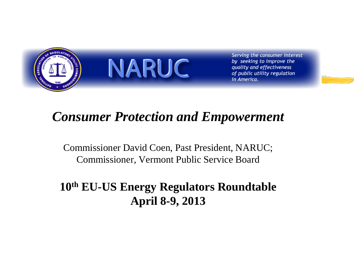

Serving the consumer interest by seeking to improve the quality and effectiveness of public utility regulation in America.

### *Consumer Protection and Empowerment*

Commissioner David Coen, Past President, NARUC; Commissioner, Vermont Public Service Board

### **10th EU-US Energy Regulators Roundtable April 8-9, 2013**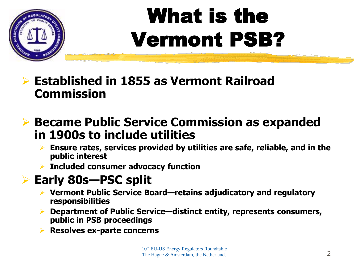

# What is the Vermont PSB?

 **Established in 1855 as Vermont Railroad Commission**

### **Became Public Service Commission as expanded in 1900s to include utilities**

- **Ensure rates, services provided by utilities are safe, reliable, and in the public interest**
- **Included consumer advocacy function**

### **Early 80s—PSC split**

- **Vermont Public Service Board—retains adjudicatory and regulatory responsibilities**
- **Department of Public Service—distinct entity, represents consumers, public in PSB proceedings**
- **Resolves ex-parte concerns**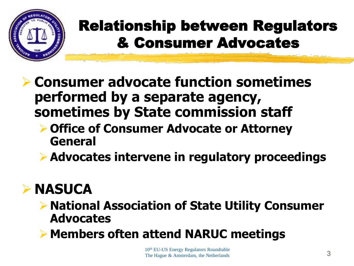

### Relationship between Regulators & Consumer Advocates

- **Consumer advocate function sometimes performed by a separate agency, sometimes by State commission staff**
	- **Office of Consumer Advocate or Attorney General**
	- **Advocates intervene in regulatory proceedings**

### **NASUCA**

- **National Association of State Utility Consumer Advocates**
- **Members often attend NARUC meetings**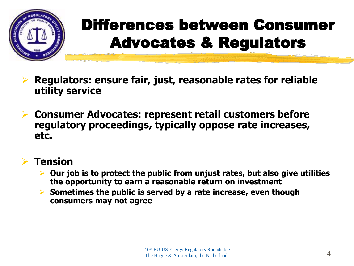

## Differences between Consumer Advocates & Regulators

- **Regulators: ensure fair, just, reasonable rates for reliable utility service**
- **Consumer Advocates: represent retail customers before regulatory proceedings, typically oppose rate increases, etc.**

#### **Tension**

- **Our job is to protect the public from unjust rates, but also give utilities the opportunity to earn a reasonable return on investment**
- **Sometimes the public is served by a rate increase, even though consumers may not agree**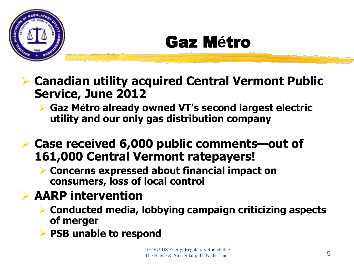

## Gaz M**é**tro

- **Canadian utility acquired Central Vermont Public Service, June 2012**
	- **Gaz Métro already owned VT's second largest electric utility and our only gas distribution company**
- **Case received 6,000 public comments—out of 161,000 Central Vermont ratepayers!**
	- **Concerns expressed about financial impact on consumers, loss of local control**

### **AARP intervention**

- **Conducted media, lobbying campaign criticizing aspects of merger**
- **PSB unable to respond**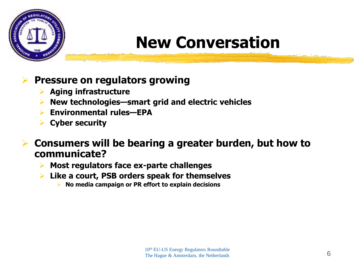

### **New Conversation**

#### **Pressure on regulators growing**

- **Aging infrastructure**
- **New technologies—smart grid and electric vehicles**
- **Environmental rules—EPA**
- **Cyber security**

 **Consumers will be bearing a greater burden, but how to communicate?**

- **Most regulators face ex-parte challenges**
- **Like a court, PSB orders speak for themselves**
	- **No media campaign or PR effort to explain decisions**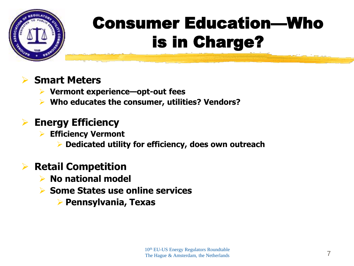

# Consumer Education—Who is in Charge?

#### **Smart Meters**

- **Vermont experience—opt-out fees**
- **Who educates the consumer, utilities? Vendors?**

### **Energy Efficiency**

- **Efficiency Vermont**
	- **Dedicated utility for efficiency, does own outreach**

### **Retail Competition**

- **No national model**
- **Some States use online services**
	- **Pennsylvania, Texas**